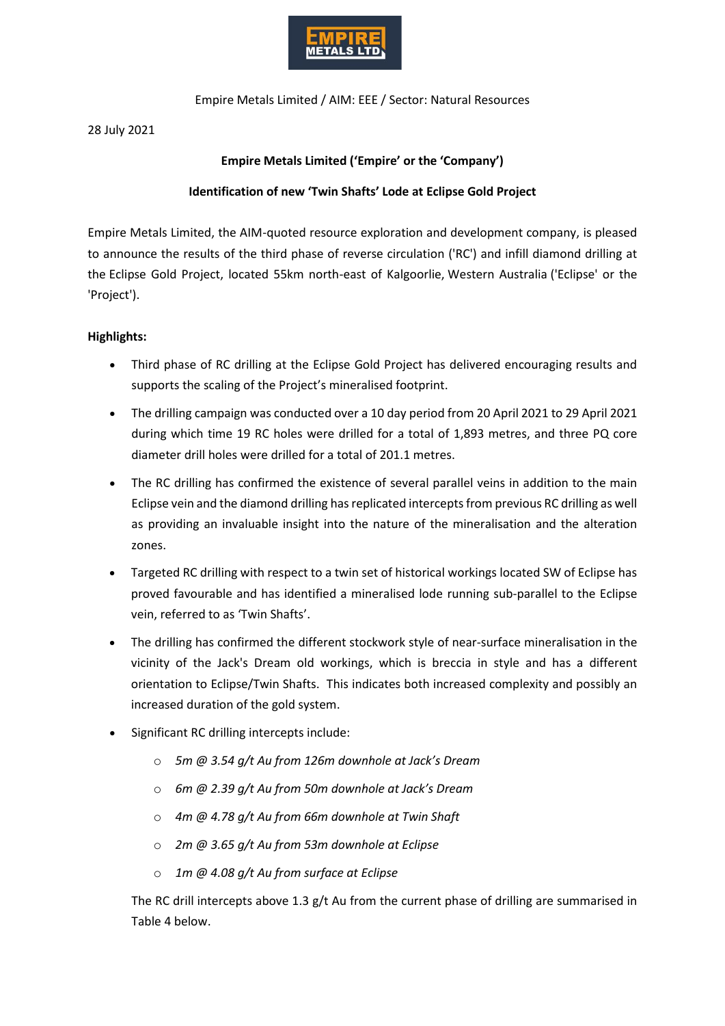

Empire Metals Limited / AIM: EEE / Sector: Natural Resources

28 July 2021

## **Empire Metals Limited ('Empire' or the 'Company')**

## **Identification of new 'Twin Shafts' Lode at Eclipse Gold Project**

Empire Metals Limited, the AIM-quoted resource exploration and development company, is pleased to announce the results of the third phase of reverse circulation ('RC') and infill diamond drilling at the Eclipse Gold Project, located 55km north-east of Kalgoorlie, Western Australia ('Eclipse' or the 'Project').

## **Highlights:**

- Third phase of RC drilling at the Eclipse Gold Project has delivered encouraging results and supports the scaling of the Project's mineralised footprint.
- The drilling campaign was conducted over a 10 day period from 20 April 2021 to 29 April 2021 during which time 19 RC holes were drilled for a total of 1,893 metres, and three PQ core diameter drill holes were drilled for a total of 201.1 metres.
- The RC drilling has confirmed the existence of several parallel veins in addition to the main Eclipse vein and the diamond drilling has replicated intercepts from previous RC drilling as well as providing an invaluable insight into the nature of the mineralisation and the alteration zones.
- Targeted RC drilling with respect to a twin set of historical workings located SW of Eclipse has proved favourable and has identified a mineralised lode running sub-parallel to the Eclipse vein, referred to as 'Twin Shafts'.
- The drilling has confirmed the different stockwork style of near-surface mineralisation in the vicinity of the Jack's Dream old workings, which is breccia in style and has a different orientation to Eclipse/Twin Shafts. This indicates both increased complexity and possibly an increased duration of the gold system.
- Significant RC drilling intercepts include:
	- o *5m @ 3.54 g/t Au from 126m downhole at Jack's Dream*
	- o *6m @ 2.39 g/t Au from 50m downhole at Jack's Dream*
	- o *4m @ 4.78 g/t Au from 66m downhole at Twin Shaft*
	- o *2m @ 3.65 g/t Au from 53m downhole at Eclipse*
	- o *1m @ 4.08 g/t Au from surface at Eclipse*

The RC drill intercepts above 1.3  $g/t$  Au from the current phase of drilling are summarised in Table 4 below.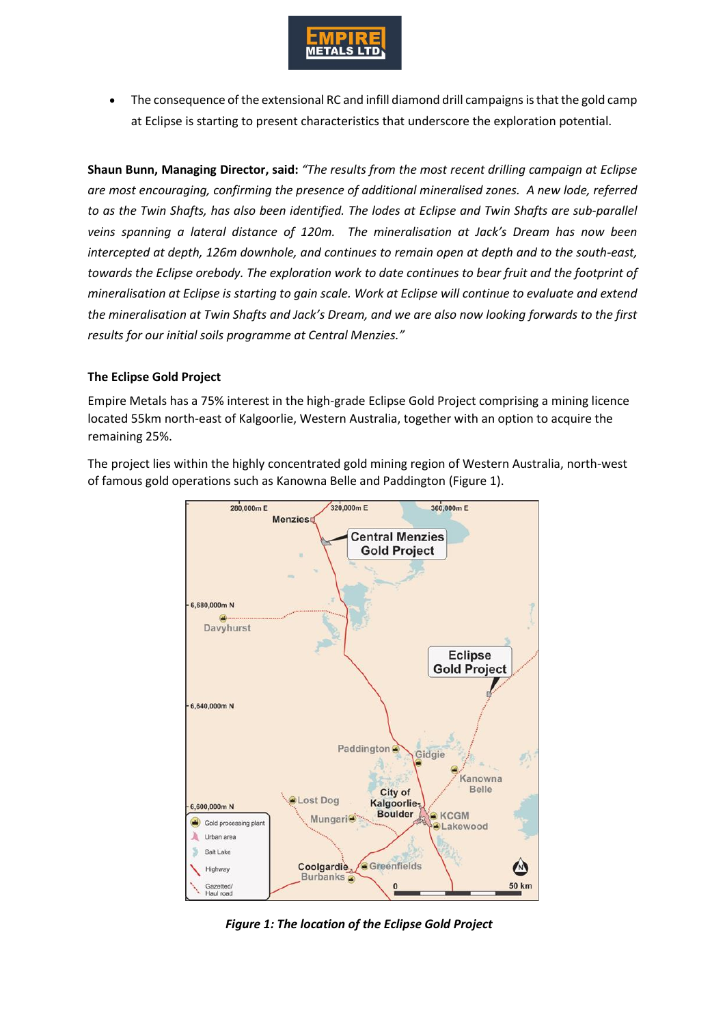

• The consequence of the extensional RC and infill diamond drill campaigns is that the gold camp at Eclipse is starting to present characteristics that underscore the exploration potential.

**Shaun Bunn, Managing Director, said:** *"The results from the most recent drilling campaign at Eclipse are most encouraging, confirming the presence of additional mineralised zones. A new lode, referred to as the Twin Shafts, has also been identified. The lodes at Eclipse and Twin Shafts are sub-parallel veins spanning a lateral distance of 120m. The mineralisation at Jack's Dream has now been intercepted at depth, 126m downhole, and continues to remain open at depth and to the south-east, towards the Eclipse orebody. The exploration work to date continues to bear fruit and the footprint of mineralisation at Eclipse is starting to gain scale. Work at Eclipse will continue to evaluate and extend the mineralisation at Twin Shafts and Jack's Dream, and we are also now looking forwards to the first results for our initial soils programme at Central Menzies."*

## **The Eclipse Gold Project**

Empire Metals has a 75% interest in the high-grade Eclipse Gold Project comprising a mining licence located 55km north-east of Kalgoorlie, Western Australia, together with an option to acquire the remaining 25%.

The project lies within the highly concentrated gold mining region of Western Australia, north-west of famous gold operations such as Kanowna Belle and Paddington (Figure 1).



*Figure 1: The location of the Eclipse Gold Project*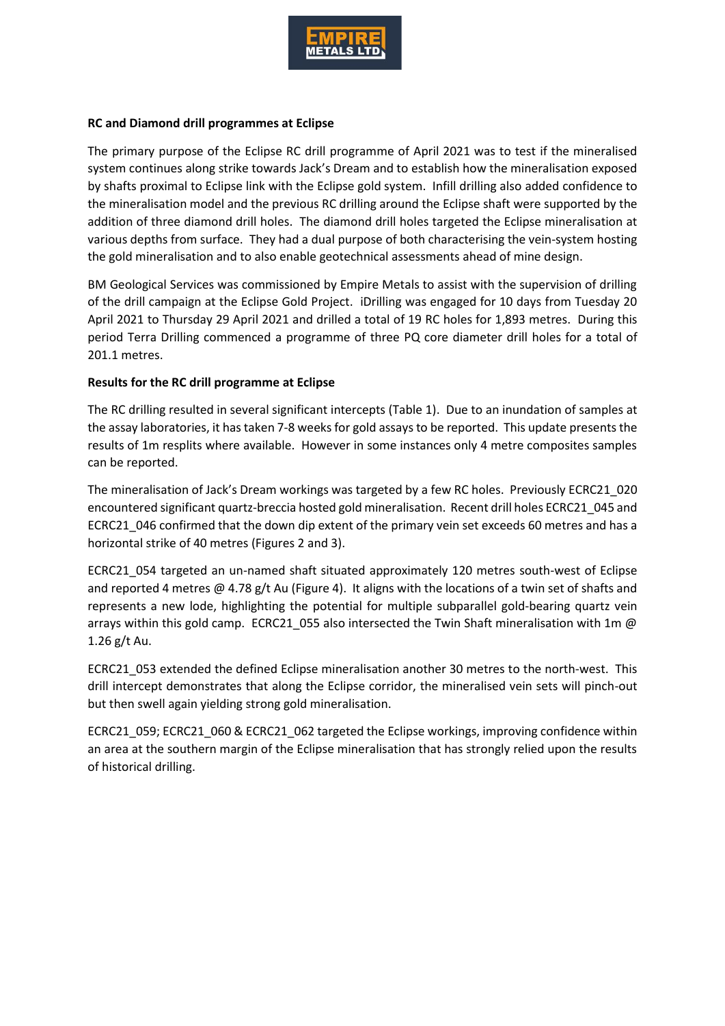

### **RC and Diamond drill programmes at Eclipse**

The primary purpose of the Eclipse RC drill programme of April 2021 was to test if the mineralised system continues along strike towards Jack's Dream and to establish how the mineralisation exposed by shafts proximal to Eclipse link with the Eclipse gold system. Infill drilling also added confidence to the mineralisation model and the previous RC drilling around the Eclipse shaft were supported by the addition of three diamond drill holes. The diamond drill holes targeted the Eclipse mineralisation at various depths from surface. They had a dual purpose of both characterising the vein-system hosting the gold mineralisation and to also enable geotechnical assessments ahead of mine design.

BM Geological Services was commissioned by Empire Metals to assist with the supervision of drilling of the drill campaign at the Eclipse Gold Project. iDrilling was engaged for 10 days from Tuesday 20 April 2021 to Thursday 29 April 2021 and drilled a total of 19 RC holes for 1,893 metres. During this period Terra Drilling commenced a programme of three PQ core diameter drill holes for a total of 201.1 metres.

### **Results for the RC drill programme at Eclipse**

The RC drilling resulted in several significant intercepts (Table 1). Due to an inundation of samples at the assay laboratories, it has taken 7-8 weeks for gold assays to be reported. This update presents the results of 1m resplits where available. However in some instances only 4 metre composites samples can be reported.

The mineralisation of Jack's Dream workings was targeted by a few RC holes. Previously ECRC21\_020 encountered significant quartz-breccia hosted gold mineralisation. Recent drill holes ECRC21\_045 and ECRC21\_046 confirmed that the down dip extent of the primary vein set exceeds 60 metres and has a horizontal strike of 40 metres (Figures 2 and 3).

ECRC21\_054 targeted an un-named shaft situated approximately 120 metres south-west of Eclipse and reported 4 metres @ 4.78 g/t Au (Figure 4). It aligns with the locations of a twin set of shafts and represents a new lode, highlighting the potential for multiple subparallel gold-bearing quartz vein arrays within this gold camp. ECRC21 055 also intersected the Twin Shaft mineralisation with 1m  $@$ 1.26 g/t Au.

ECRC21\_053 extended the defined Eclipse mineralisation another 30 metres to the north-west. This drill intercept demonstrates that along the Eclipse corridor, the mineralised vein sets will pinch-out but then swell again yielding strong gold mineralisation.

ECRC21\_059; ECRC21\_060 & ECRC21\_062 targeted the Eclipse workings, improving confidence within an area at the southern margin of the Eclipse mineralisation that has strongly relied upon the results of historical drilling.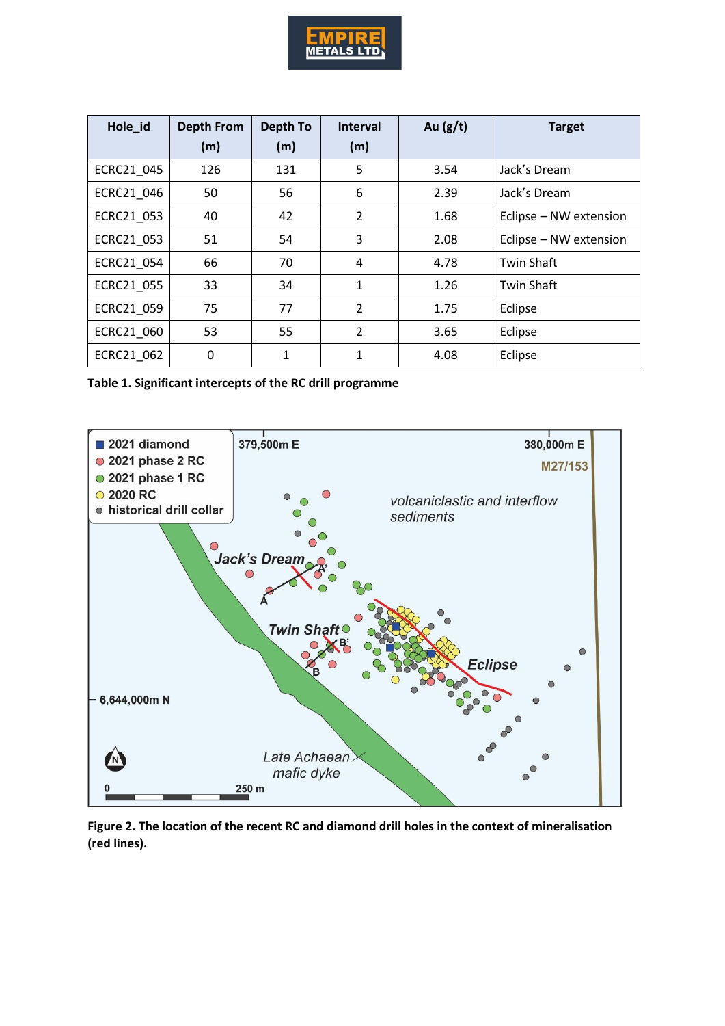

| Hole_id    | <b>Depth From</b> | Depth To     | <b>Interval</b> | Au $(g/t)$ | <b>Target</b>          |
|------------|-------------------|--------------|-----------------|------------|------------------------|
|            | (m)               | (m)          | (m)             |            |                        |
| ECRC21 045 | 126               | 131          | 5               | 3.54       | Jack's Dream           |
| ECRC21 046 | 50                | 56           | 6               | 2.39       | Jack's Dream           |
| ECRC21 053 | 40                | 42           | $\overline{2}$  | 1.68       | Eclipse - NW extension |
| ECRC21 053 | 51                | 54           | 3               | 2.08       | Eclipse - NW extension |
| ECRC21 054 | 66                | 70           | 4               | 4.78       | <b>Twin Shaft</b>      |
| ECRC21 055 | 33                | 34           | $\mathbf{1}$    | 1.26       | <b>Twin Shaft</b>      |
| ECRC21 059 | 75                | 77           | $\overline{2}$  | 1.75       | Eclipse                |
| ECRC21_060 | 53                | 55           | $\overline{2}$  | 3.65       | Eclipse                |
| ECRC21 062 | $\mathbf 0$       | $\mathbf{1}$ | 1               | 4.08       | Eclipse                |

**Table 1. Significant intercepts of the RC drill programme**



**Figure 2. The location of the recent RC and diamond drill holes in the context of mineralisation (red lines).**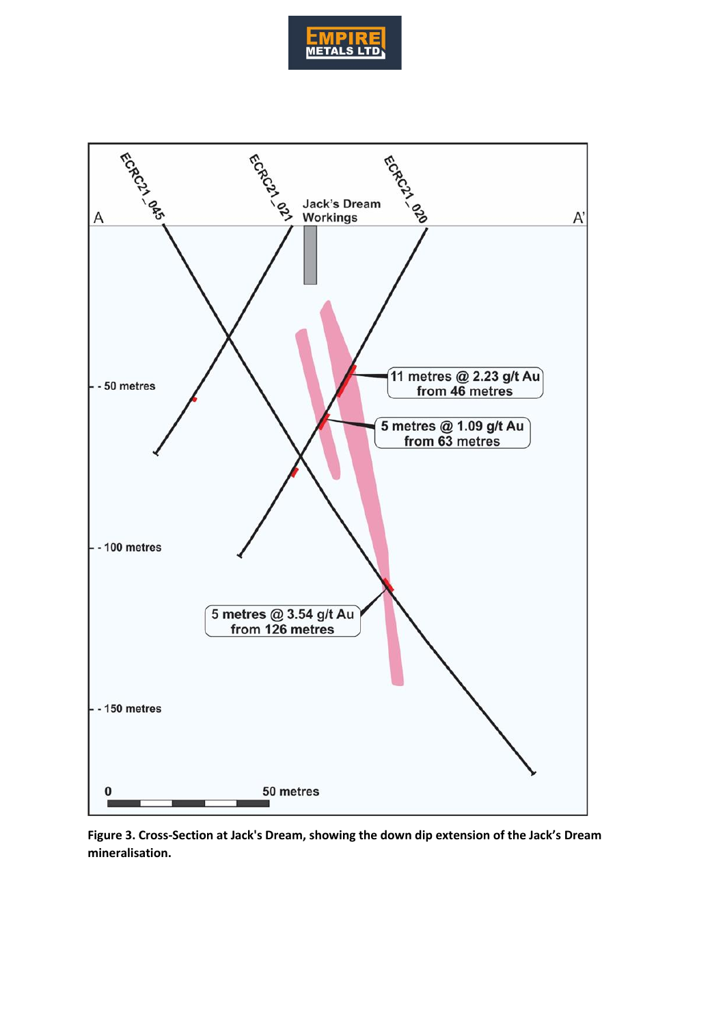



**Figure 3. Cross-Section at Jack's Dream, showing the down dip extension of the Jack's Dream mineralisation.**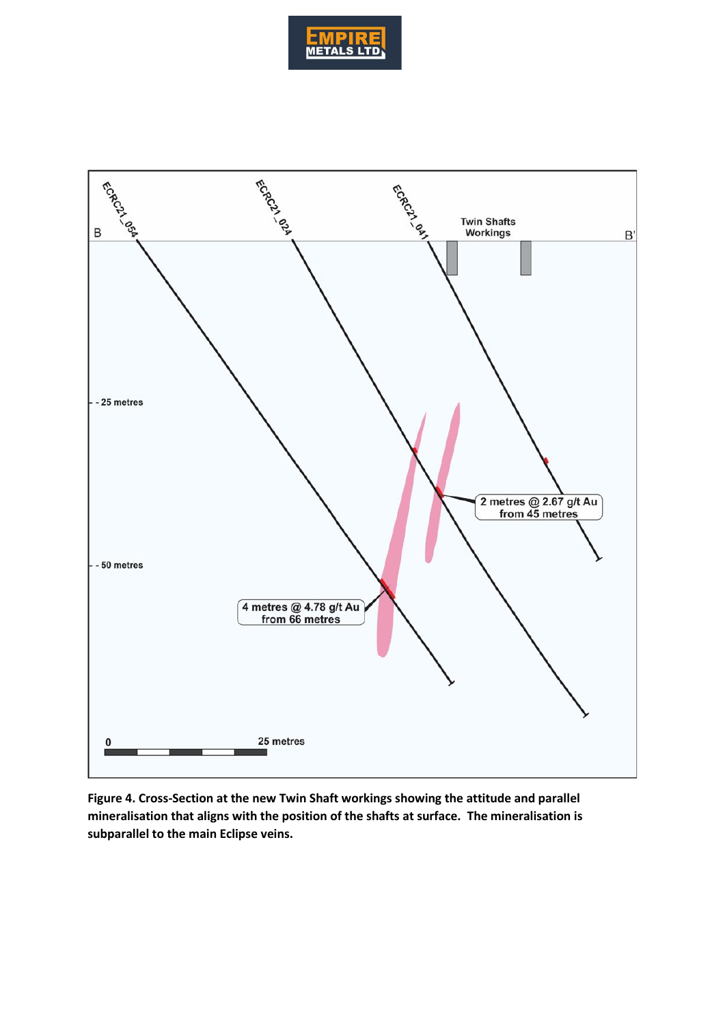



**Figure 4. Cross-Section at the new Twin Shaft workings showing the attitude and parallel mineralisation that aligns with the position of the shafts at surface. The mineralisation is subparallel to the main Eclipse veins.**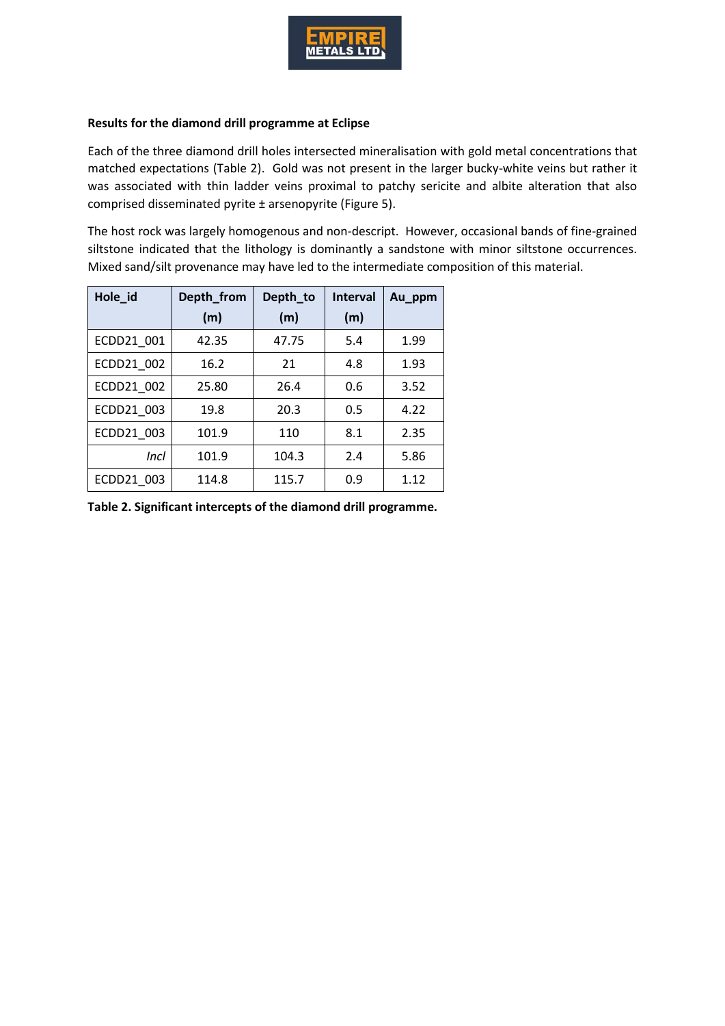

### **Results for the diamond drill programme at Eclipse**

Each of the three diamond drill holes intersected mineralisation with gold metal concentrations that matched expectations (Table 2). Gold was not present in the larger bucky-white veins but rather it was associated with thin ladder veins proximal to patchy sericite and albite alteration that also comprised disseminated pyrite ± arsenopyrite (Figure 5).

The host rock was largely homogenous and non-descript. However, occasional bands of fine-grained siltstone indicated that the lithology is dominantly a sandstone with minor siltstone occurrences. Mixed sand/silt provenance may have led to the intermediate composition of this material.

| Hole_id    | Depth_from | Depth_to | <b>Interval</b> | Au_ppm |
|------------|------------|----------|-----------------|--------|
|            | (m)        | (m)      | (m)             |        |
| ECDD21 001 | 42.35      | 47.75    | 5.4             | 1.99   |
| ECDD21 002 | 16.2       | 21       | 4.8             | 1.93   |
| ECDD21 002 | 25.80      | 26.4     | 0.6             | 3.52   |
| ECDD21_003 | 19.8       | 20.3     | 0.5             | 4.22   |
| ECDD21 003 | 101.9      | 110      | 8.1             | 2.35   |
| Incl       | 101.9      | 104.3    | 2.4             | 5.86   |
| ECDD21 003 | 114.8      | 115.7    | 0.9             | 1.12   |

**Table 2. Significant intercepts of the diamond drill programme.**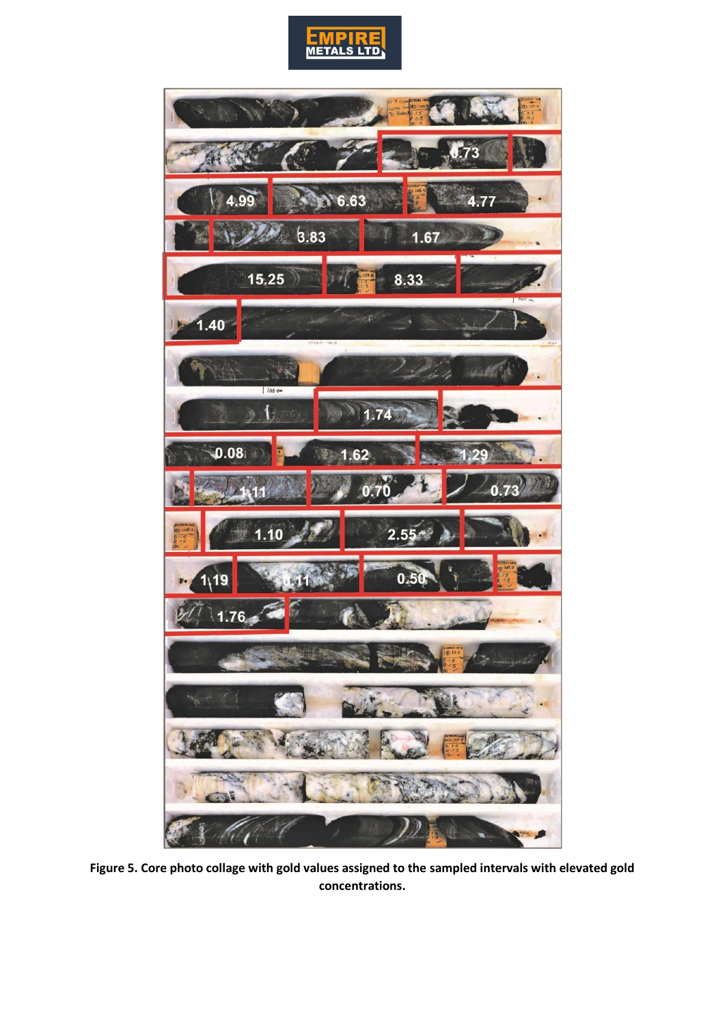



**Figure 5. Core photo collage with gold values assigned to the sampled intervals with elevated gold concentrations.**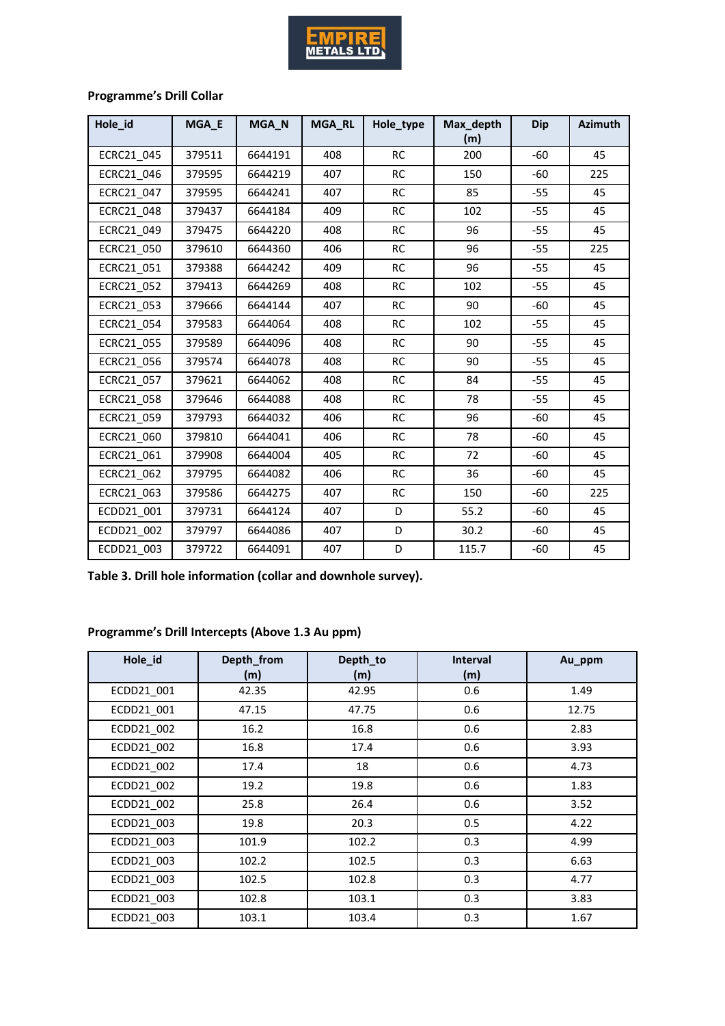

# **Programme's Drill Collar**

| Hole id    | MGA_E  | MGA N   | MGA_RL | Hole_type | Max_depth<br>(m) | <b>Dip</b> | <b>Azimuth</b> |
|------------|--------|---------|--------|-----------|------------------|------------|----------------|
| ECRC21 045 | 379511 | 6644191 | 408    | <b>RC</b> | 200              | $-60$      | 45             |
| ECRC21 046 | 379595 | 6644219 | 407    | <b>RC</b> | 150              | -60        | 225            |
| ECRC21 047 | 379595 | 6644241 | 407    | <b>RC</b> | 85               | $-55$      | 45             |
| ECRC21 048 | 379437 | 6644184 | 409    | <b>RC</b> | 102              | $-55$      | 45             |
| ECRC21 049 | 379475 | 6644220 | 408    | <b>RC</b> | 96               | $-55$      | 45             |
| ECRC21 050 | 379610 | 6644360 | 406    | <b>RC</b> | 96               | $-55$      | 225            |
| ECRC21 051 | 379388 | 6644242 | 409    | <b>RC</b> | 96               | $-55$      | 45             |
| ECRC21 052 | 379413 | 6644269 | 408    | <b>RC</b> | 102              | $-55$      | 45             |
| ECRC21 053 | 379666 | 6644144 | 407    | <b>RC</b> | 90               | $-60$      | 45             |
| ECRC21 054 | 379583 | 6644064 | 408    | <b>RC</b> | 102              | $-55$      | 45             |
| ECRC21 055 | 379589 | 6644096 | 408    | <b>RC</b> | 90               | $-55$      | 45             |
| ECRC21 056 | 379574 | 6644078 | 408    | <b>RC</b> | 90               | $-55$      | 45             |
| ECRC21 057 | 379621 | 6644062 | 408    | <b>RC</b> | 84               | $-55$      | 45             |
| ECRC21 058 | 379646 | 6644088 | 408    | <b>RC</b> | 78               | $-55$      | 45             |
| ECRC21 059 | 379793 | 6644032 | 406    | <b>RC</b> | 96               | $-60$      | 45             |
| ECRC21 060 | 379810 | 6644041 | 406    | <b>RC</b> | 78               | $-60$      | 45             |
| ECRC21 061 | 379908 | 6644004 | 405    | <b>RC</b> | 72               | $-60$      | 45             |
| ECRC21 062 | 379795 | 6644082 | 406    | <b>RC</b> | 36               | $-60$      | 45             |
| ECRC21 063 | 379586 | 6644275 | 407    | <b>RC</b> | 150              | $-60$      | 225            |
| ECDD21 001 | 379731 | 6644124 | 407    | D         | 55.2             | -60        | 45             |
| ECDD21 002 | 379797 | 6644086 | 407    | D         | 30.2             | $-60$      | 45             |
| ECDD21_003 | 379722 | 6644091 | 407    | D         | 115.7            | $-60$      | 45             |

**Table 3. Drill hole information (collar and downhole survey).**

# **Programme's Drill Intercepts (Above 1.3 Au ppm)**

| Hole_id    | Depth_from<br>(m) | Depth_to<br>(m) | <b>Interval</b><br>(m) | Au_ppm |
|------------|-------------------|-----------------|------------------------|--------|
| ECDD21 001 | 42.35             | 42.95           | 0.6                    | 1.49   |
| ECDD21_001 | 47.15             | 47.75           | 0.6                    | 12.75  |
| ECDD21 002 | 16.2              | 16.8            | 0.6                    | 2.83   |
| ECDD21 002 | 16.8              | 17.4            | 0.6                    | 3.93   |
| ECDD21 002 | 17.4              | 18              | 0.6                    | 4.73   |
| ECDD21_002 | 19.2              | 19.8            | 0.6                    | 1.83   |
| ECDD21 002 | 25.8              | 26.4            | 0.6                    | 3.52   |
| ECDD21 003 | 19.8              | 20.3            | 0.5                    | 4.22   |
| ECDD21 003 | 101.9             | 102.2           | 0.3                    | 4.99   |
| ECDD21 003 | 102.2             | 102.5           | 0.3                    | 6.63   |
| ECDD21 003 | 102.5             | 102.8           | 0.3                    | 4.77   |
| ECDD21 003 | 102.8             | 103.1           | 0.3                    | 3.83   |
| ECDD21 003 | 103.1             | 103.4           | 0.3                    | 1.67   |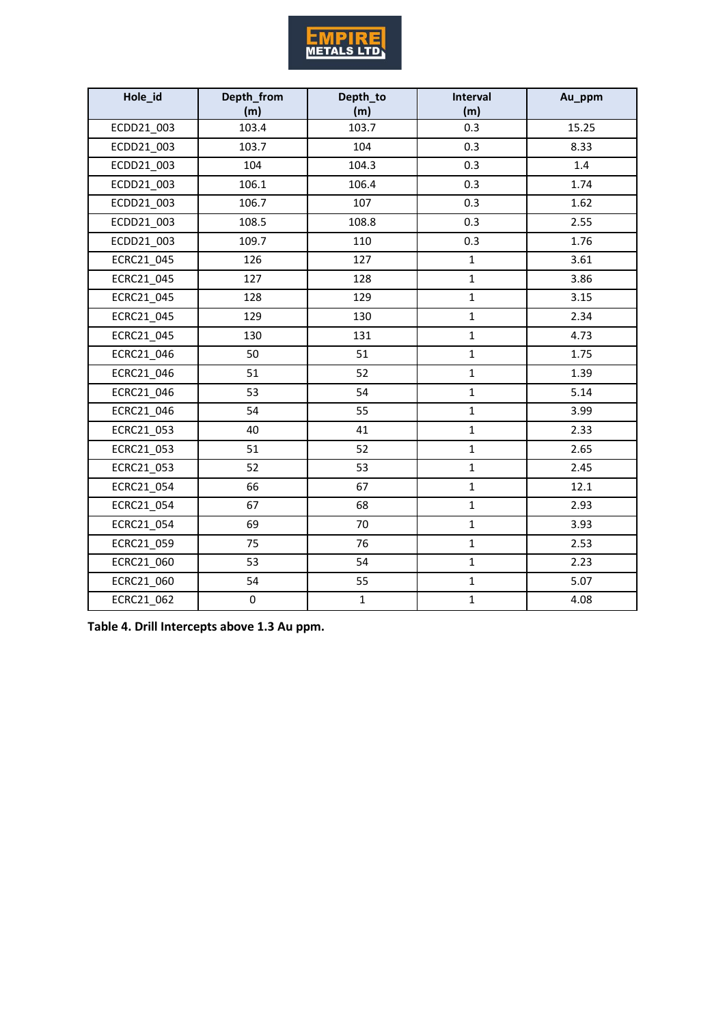

| Hole_id    | Depth_from<br>(m) | Depth_to<br>(m) | Interval<br>(m) | Au_ppm |
|------------|-------------------|-----------------|-----------------|--------|
| ECDD21_003 | 103.4             | 103.7           | 0.3             | 15.25  |
| ECDD21_003 | 103.7             | 104             | 0.3             | 8.33   |
| ECDD21_003 | 104               | 104.3           | 0.3             | 1.4    |
| ECDD21 003 | 106.1             | 106.4           | 0.3             | 1.74   |
| ECDD21 003 | 106.7             | 107             | 0.3             | 1.62   |
| ECDD21_003 | 108.5             | 108.8           | 0.3             | 2.55   |
| ECDD21_003 | 109.7             | 110             | 0.3             | 1.76   |
| ECRC21_045 | 126               | 127             | $\mathbf{1}$    | 3.61   |
| ECRC21 045 | 127               | 128             | $\mathbf 1$     | 3.86   |
| ECRC21_045 | 128               | 129             | $\mathbf 1$     | 3.15   |
| ECRC21_045 | 129               | 130             | $\mathbf{1}$    | 2.34   |
| ECRC21 045 | 130               | 131             | $\mathbf 1$     | 4.73   |
| ECRC21_046 | 50                | 51              | $\mathbf 1$     | 1.75   |
| ECRC21 046 | 51                | 52              | $\mathbf{1}$    | 1.39   |
| ECRC21 046 | 53                | 54              | $\mathbf{1}$    | 5.14   |
| ECRC21_046 | 54                | 55              | $\mathbf 1$     | 3.99   |
| ECRC21_053 | 40                | 41              | $\mathbf 1$     | 2.33   |
| ECRC21_053 | 51                | 52              | $\mathbf{1}$    | 2.65   |
| ECRC21_053 | 52                | 53              | $\mathbf 1$     | 2.45   |
| ECRC21_054 | 66                | 67              | $\mathbf 1$     | 12.1   |
| ECRC21 054 | 67                | 68              | $\mathbf 1$     | 2.93   |
| ECRC21_054 | 69                | 70              | $\mathbf{1}$    | 3.93   |
| ECRC21_059 | 75                | 76              | $\mathbf 1$     | 2.53   |
| ECRC21_060 | 53                | 54              | $\mathbf 1$     | 2.23   |
| ECRC21_060 | 54                | 55              | $\mathbf{1}$    | 5.07   |
| ECRC21 062 | $\pmb{0}$         | $\mathbf 1$     | $\mathbf 1$     | 4.08   |

**Table 4. Drill Intercepts above 1.3 Au ppm.**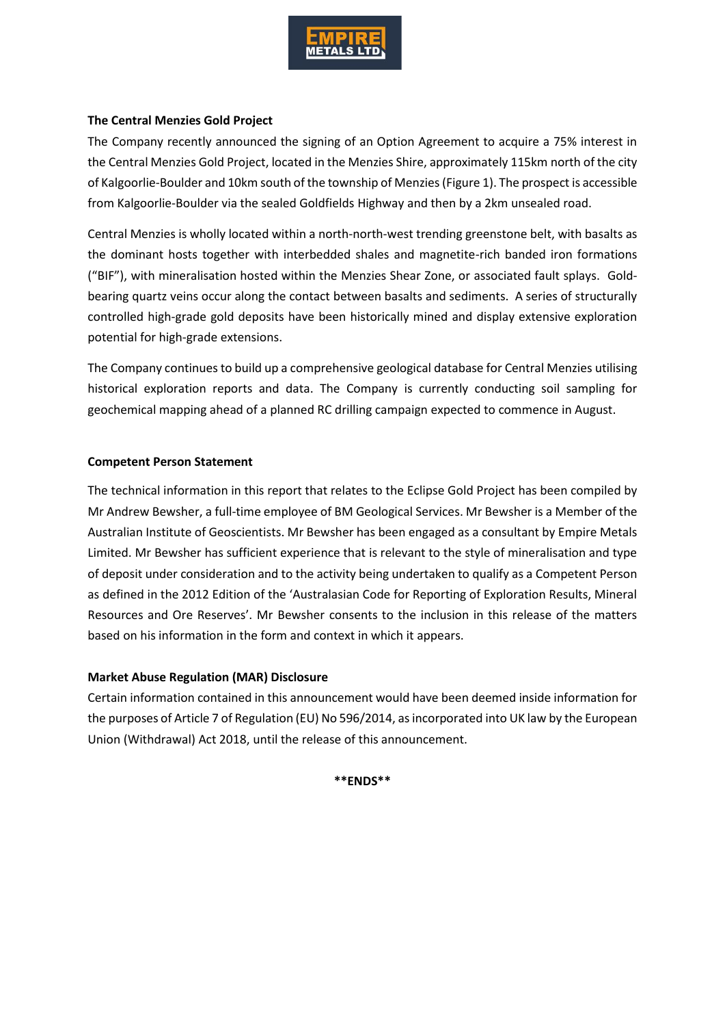

### **The Central Menzies Gold Project**

The Company recently announced the signing of an Option Agreement to acquire a 75% interest in the Central Menzies Gold Project, located in the Menzies Shire, approximately 115km north of the city of Kalgoorlie-Boulder and 10km south of the township of Menzies(Figure 1). The prospect is accessible from Kalgoorlie-Boulder via the sealed Goldfields Highway and then by a 2km unsealed road.

Central Menzies is wholly located within a north-north-west trending greenstone belt, with basalts as the dominant hosts together with interbedded shales and magnetite-rich banded iron formations ("BIF"), with mineralisation hosted within the Menzies Shear Zone, or associated fault splays. Goldbearing quartz veins occur along the contact between basalts and sediments. A series of structurally controlled high-grade gold deposits have been historically mined and display extensive exploration potential for high-grade extensions.

The Company continues to build up a comprehensive geological database for Central Menzies utilising historical exploration reports and data. The Company is currently conducting soil sampling for geochemical mapping ahead of a planned RC drilling campaign expected to commence in August.

### **Competent Person Statement**

The technical information in this report that relates to the Eclipse Gold Project has been compiled by Mr Andrew Bewsher, a full-time employee of BM Geological Services. Mr Bewsher is a Member of the Australian Institute of Geoscientists. Mr Bewsher has been engaged as a consultant by Empire Metals Limited. Mr Bewsher has sufficient experience that is relevant to the style of mineralisation and type of deposit under consideration and to the activity being undertaken to qualify as a Competent Person as defined in the 2012 Edition of the 'Australasian Code for Reporting of Exploration Results, Mineral Resources and Ore Reserves'. Mr Bewsher consents to the inclusion in this release of the matters based on his information in the form and context in which it appears.

### **Market Abuse Regulation (MAR) Disclosure**

Certain information contained in this announcement would have been deemed inside information for the purposes of Article 7 of Regulation (EU) No 596/2014, as incorporated into UK law by the European Union (Withdrawal) Act 2018, until the release of this announcement.

**\*\*ENDS\*\***